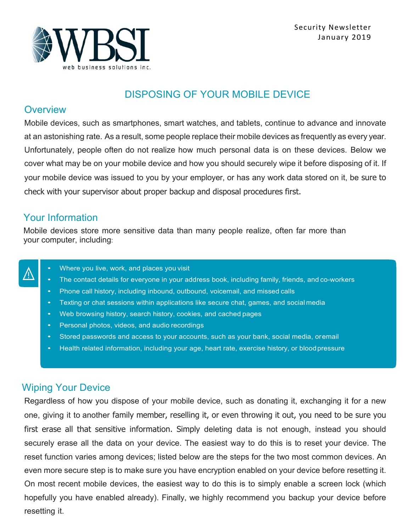

### DISPOSING OF YOUR MOBILE DEVICE

#### **Overview**

Mobile devices, such as smartphones, smart watches, and tablets, continue to advance and innovate at an astonishing rate. As a result, some people replace their mobile devices as frequently as every year. Unfortunately, people often do not realize how much personal data is on these devices. Below we cover what may be on your mobile device and how you should securely wipe it before disposing of it. If your mobile device was issued to you by your employer, or has any work data stored on it, be sure to check with your supervisor about proper backup and disposal procedures first.

#### Your Information

Mobile devices store more sensitive data than many people realize, often far more than your computer, including:



- Where you live, work, and places you visit
- The contact details for everyone in your address book, including family, friends, and co-workers
- Phone call history, including inbound, outbound, voicemail, and missed calls
- Texting or chat sessions within applications like secure chat, games, and social media
- Web browsing history, search history, cookies, and cached pages
- Personal photos, videos, and audio recordings
- Stored passwords and access to your accounts, such as your bank, social media, oremail
- Health related information, including your age, heart rate, exercise history, or blood pressure

## Wiping Your Device

Regardless of how you dispose of your mobile device, such as donating it, exchanging it for a new one, giving it to another family member, reselling it, or even throwing it out, you need to be sure you first erase all that sensitive information. Simply deleting data is not enough, instead you should securely erase all the data on your device. The easiest way to do this is to reset your device. The reset function varies among devices; listed below are the steps for the two most common devices. An even more secure step is to make sure you have encryption enabled on your device before resetting it. On most recent mobile devices, the easiest way to do this is to simply enable a screen lock (which hopefully you have enabled already). Finally, we highly recommend you backup your device before resetting it.